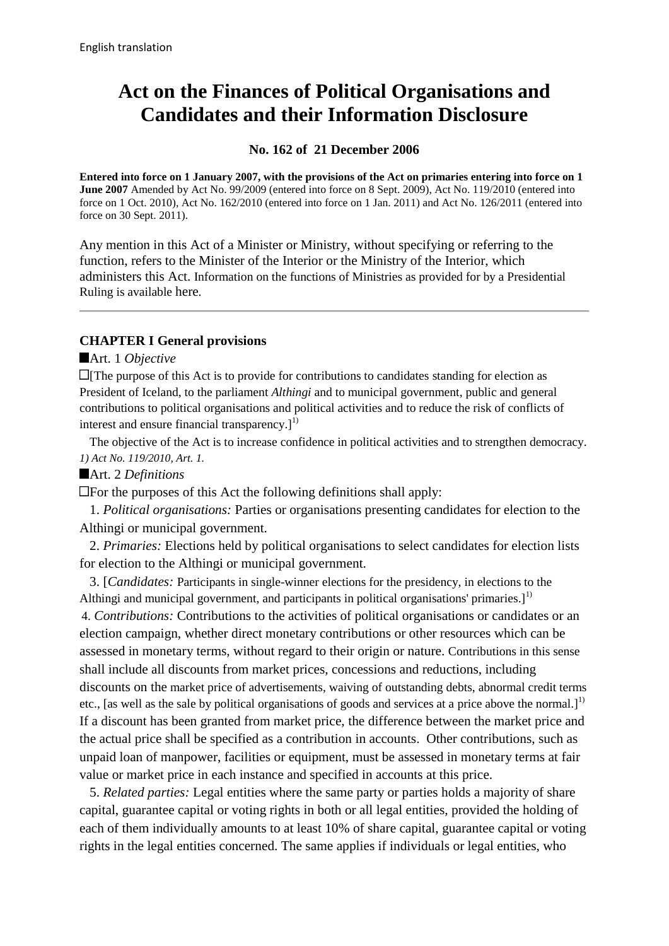# **Act on the Finances of Political Organisations and Candidates and their Information Disclosure**

#### **No. 162 of 21 December 2006**

**Entered into force on 1 January 2007, with the provisions of the Act on primaries entering into force on 1 June 2007** Amended by Act No. 99/2009 (entered into force on 8 Sept. 2009), Act No. 119/2010 (entered into force on 1 Oct. 2010), Act No. 162/2010 (entered into force on 1 Jan. 2011) and Act No. 126/2011 (entered into force on 30 Sept. 2011)*.*

Any mention in this Act of a Minister or Ministry, without specifying or referring to the function, refers to the Minister of the Interior or the Ministry of the Interior, which administers this Act. Information on the functions of Ministries as provided for by a Presidential Ruling is available [here](http://www.althingi.is/lagas/141a/2012100.html).

# **CHAPTER I General provisions**

#### Art. 1 *Objective*

 $\Box$  The purpose of this Act is to provide for contributions to candidates standing for election as President of Iceland, to the parliament *Althingi* and to municipal government, public and general contributions to political organisations and political activities and to reduce the risk of conflicts of interest and ensure financial transparency. $]^{1)}$ 

 The objective of the Act is to increase confidence in political activities and to strengthen democracy. *1) Act No. 119/2010, Art. 1.* 

Art. 2 *Definitions*

For the purposes of this Act the following definitions shall apply:

 1. *Political organisations:* Parties or organisations presenting candidates for election to the Althingi or municipal government.

 2. *Primaries:* Elections held by political organisations to select candidates for election lists for election to the Althingi or municipal government.

 3. [*Candidates:* Participants in single-winner elections for the presidency, in elections to the Althingi and municipal government, and participants in political organisations' primaries. $1^{1}$ 4. *Contributions:* Contributions to the activities of political organisations or candidates or an election campaign, whether direct monetary contributions or other resources which can be assessed in monetary terms, without regard to their origin or nature. Contributions in this sense shall include all discounts from market prices, concessions and reductions, including discounts on the market price of advertisements, waiving of outstanding debts, abnormal credit terms etc., [as well as the sale by political organisations of goods and services at a price above the normal.]<sup>1)</sup> If a discount has been granted from market price, the difference between the market price and the actual price shall be specified as a contribution in accounts. Other contributions, such as unpaid loan of manpower, facilities or equipment, must be assessed in monetary terms at fair value or market price in each instance and specified in accounts at this price.

 5. *Related parties:* Legal entities where the same party or parties holds a majority of share capital, guarantee capital or voting rights in both or all legal entities, provided the holding of each of them individually amounts to at least 10% of share capital, guarantee capital or voting rights in the legal entities concerned. The same applies if individuals or legal entities, who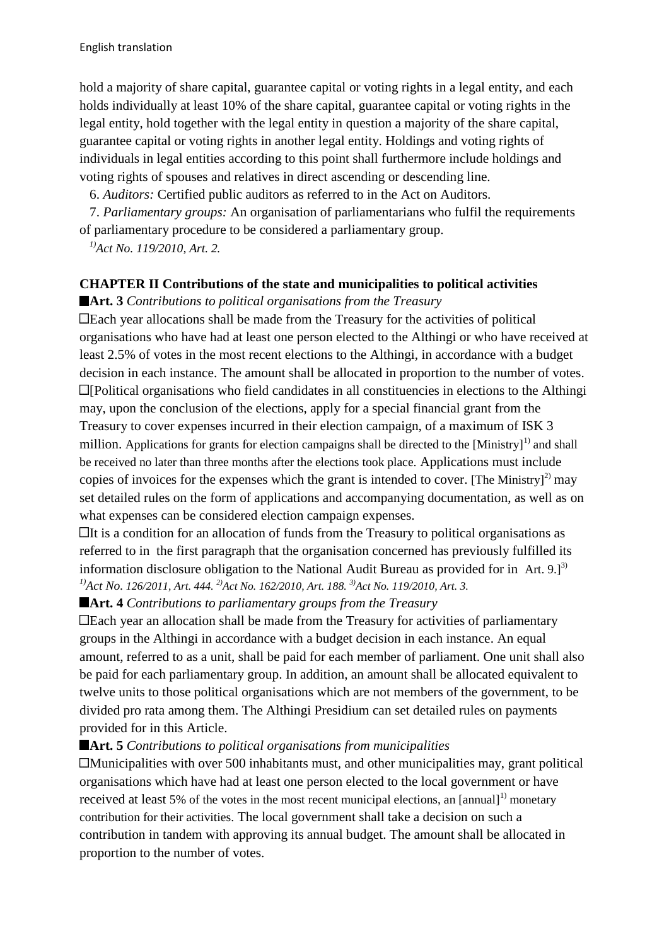hold a majority of share capital, guarantee capital or voting rights in a legal entity, and each holds individually at least 10% of the share capital, guarantee capital or voting rights in the legal entity, hold together with the legal entity in question a majority of the share capital, guarantee capital or voting rights in another legal entity. Holdings and voting rights of individuals in legal entities according to this point shall furthermore include holdings and voting rights of spouses and relatives in direct ascending or descending line.

6. *Auditors:* Certified public auditors as referred to in the Act on Auditors.

 7. *Parliamentary groups:* An organisation of parliamentarians who fulfil the requirements of parliamentary procedure to be considered a parliamentary group.

*1)Act No. 119/2010, Art. 2.*

# **CHAPTER II Contributions of the state and municipalities to political activities**

**Art. 3** *Contributions to political organisations from the Treasury*

Each year allocations shall be made from the Treasury for the activities of political organisations who have had at least one person elected to the Althingi or who have received at least 2.5% of votes in the most recent elections to the Althingi, in accordance with a budget decision in each instance. The amount shall be allocated in proportion to the number of votes. [Political organisations who field candidates in all constituencies in elections to the Althingi may, upon the conclusion of the elections, apply for a special financial grant from the Treasury to cover expenses incurred in their election campaign, of a maximum of ISK 3 million. Applications for grants for election campaigns shall be directed to the  $[Ministry]$ <sup>1)</sup> and shall be received no later than three months after the elections took place. Applications must include copies of invoices for the expenses which the grant is intended to cover. [The Ministry] $^{2)}$  may set detailed rules on the form of applications and accompanying documentation, as well as on what expenses can be considered election campaign expenses.

 $\Box$ It is a condition for an allocation of funds from the Treasury to political organisations as referred to in the first paragraph that the organisation concerned has previously fulfilled its information disclosure obligation to the National Audit Bureau as provided for in Art.  $9.1^{3}$ *1)Act No. 126/2011, Art. 444. 2)Act No. 162/2010, Art. 188. 3)Act No. 119/2010, Art. 3.* 

**Art. 4** *Contributions to parliamentary groups from the Treasury*

 $\Box$  Each year an allocation shall be made from the Treasury for activities of parliamentary groups in the Althingi in accordance with a budget decision in each instance. An equal amount, referred to as a unit, shall be paid for each member of parliament. One unit shall also be paid for each parliamentary group. In addition, an amount shall be allocated equivalent to twelve units to those political organisations which are not members of the government, to be divided pro rata among them. The Althingi Presidium can set detailed rules on payments provided for in this Article.

#### **Art. 5** *Contributions to political organisations from municipalities*

Municipalities with over 500 inhabitants must, and other municipalities may, grant political organisations which have had at least one person elected to the local government or have received at least 5% of the votes in the most recent municipal elections, an  $[annual]$ <sup>1)</sup> monetary contribution for their activities. The local government shall take a decision on such a contribution in tandem with approving its annual budget. The amount shall be allocated in proportion to the number of votes.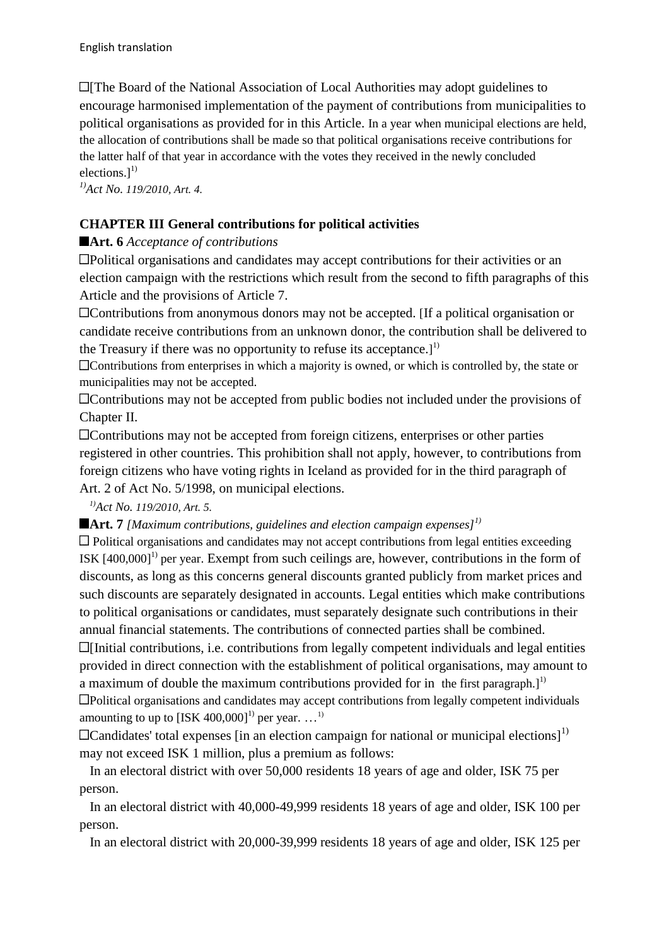**Ell** The Board of the National Association of Local Authorities may adopt guidelines to encourage harmonised implementation of the payment of contributions from municipalities to political organisations as provided for in this Article. In a year when municipal elections are held, the allocation of contributions shall be made so that political organisations receive contributions for the latter half of that year in accordance with the votes they received in the newly concluded elections. $]^{1)}$ 

*1)Act No. 119/2010, Art. 4.* 

# **CHAPTER III General contributions for political activities**

# ■**Art.** 6*Acceptance of contributions*

Political organisations and candidates may accept contributions for their activities or an election campaign with the restrictions which result from the second to fifth paragraphs of this Article and the provisions of Article 7.

Contributions from anonymous donors may not be accepted. [If a political organisation or candidate receive contributions from an unknown donor, the contribution shall be delivered to the Treasury if there was no opportunity to refuse its acceptance.]<sup>1)</sup>

Contributions from enterprises in which a majority is owned, or which is controlled by, the state or municipalities may not be accepted.

Contributions may not be accepted from public bodies not included under the provisions of Chapter II.

Contributions may not be accepted from foreign citizens, enterprises or other parties registered in other countries. This prohibition shall not apply, however, to contributions from foreign citizens who have voting rights in Iceland as provided for in the third paragraph of Art. 2 of Act No. 5/1998, on municipal elections.

*1)Act No. 119/2010, Art. 5.* 

**Art. 7** *[Maximum contributions, guidelines and election campaign expenses]1)*

Political organisations and candidates may not accept contributions from legal entities exceeding ISK  $[400,000]$ <sup>1)</sup> per year. Exempt from such ceilings are, however, contributions in the form of discounts, as long as this concerns general discounts granted publicly from market prices and such discounts are separately designated in accounts. Legal entities which make contributions to political organisations or candidates, must separately designate such contributions in their annual financial statements. The contributions of connected parties shall be combined.  $\Box$ [Initial contributions, i.e. contributions from legally competent individuals and legal entities provided in direct connection with the establishment of political organisations, may amount to a maximum of double the maximum contributions provided for in the first paragraph.<sup>11</sup> Political organisations and candidates may accept contributions from legally competent individuals amounting to up to  $[ISK 400,000]$ <sup>1)</sup> per year. ...<sup>1)</sup>

 $\Box$ Candidates' total expenses [in an election campaign for national or municipal elections]<sup>1)</sup> may not exceed ISK 1 million, plus a premium as follows:

 In an electoral district with over 50,000 residents 18 years of age and older, ISK 75 per person.

 In an electoral district with 40,000-49,999 residents 18 years of age and older, ISK 100 per person.

In an electoral district with 20,000-39,999 residents 18 years of age and older, ISK 125 per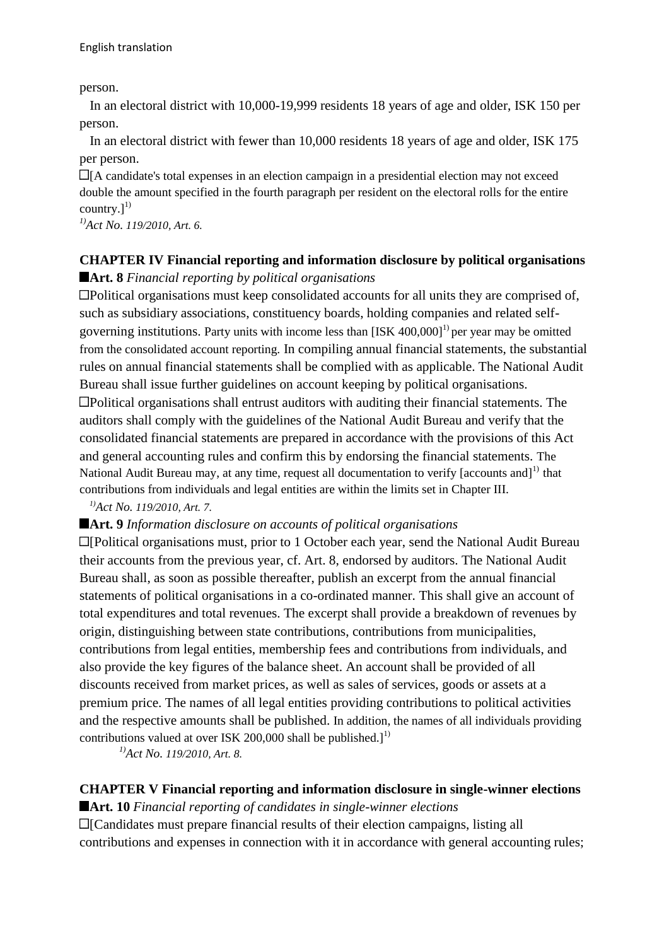person.

 In an electoral district with 10,000-19,999 residents 18 years of age and older, ISK 150 per person.

 In an electoral district with fewer than 10,000 residents 18 years of age and older, ISK 175 per person.

 $\Box$ [A candidate's total expenses in an election campaign in a presidential election may not exceed double the amount specified in the fourth paragraph per resident on the electoral rolls for the entire country. $]^{1)}$ 

*1)Act No. 119/2010, Art. 6.* 

# **CHAPTER IV Financial reporting and information disclosure by political organisations Art. 8** *Financial reporting by political organisations*

 $\Box$ Political organisations must keep consolidated accounts for all units they are comprised of, such as subsidiary associations, constituency boards, holding companies and related selfgoverning institutions. Party units with income less than  $[ISK 400,000]$ <sup>1)</sup> per year may be omitted from the consolidated account reporting. In compiling annual financial statements, the substantial rules on annual financial statements shall be complied with as applicable. The National Audit Bureau shall issue further guidelines on account keeping by political organisations. Political organisations shall entrust auditors with auditing their financial statements. The auditors shall comply with the guidelines of the National Audit Bureau and verify that the consolidated financial statements are prepared in accordance with the provisions of this Act and general accounting rules and confirm this by endorsing the financial statements. The National Audit Bureau may, at any time, request all documentation to verify  $[accounts and]$ <sup>1)</sup> that contributions from individuals and legal entities are within the limits set in Chapter III.

#### *1)Act No. 119/2010, Art. 7.*

#### **Art. 9** *Information disclosure on accounts of political organisations*

[Political organisations must, prior to 1 October each year, send the National Audit Bureau their accounts from the previous year, cf. Art. 8, endorsed by auditors. The National Audit Bureau shall, as soon as possible thereafter, publish an excerpt from the annual financial statements of political organisations in a co-ordinated manner. This shall give an account of total expenditures and total revenues. The excerpt shall provide a breakdown of revenues by origin, distinguishing between state contributions, contributions from municipalities, contributions from legal entities, membership fees and contributions from individuals, and also provide the key figures of the balance sheet. An account shall be provided of all discounts received from market prices, as well as sales of services, goods or assets at a premium price. The names of all legal entities providing contributions to political activities and the respective amounts shall be published. In addition, the names of all individuals providing contributions valued at over ISK 200,000 shall be published.]<sup>1)</sup>

*1)Act No. 119/2010, Art. 8.* 

# **CHAPTER V Financial reporting and information disclosure in single-winner elections**

**Art. 10** *Financial reporting of candidates in single-winner elections*

[Candidates must prepare financial results of their election campaigns, listing all contributions and expenses in connection with it in accordance with general accounting rules;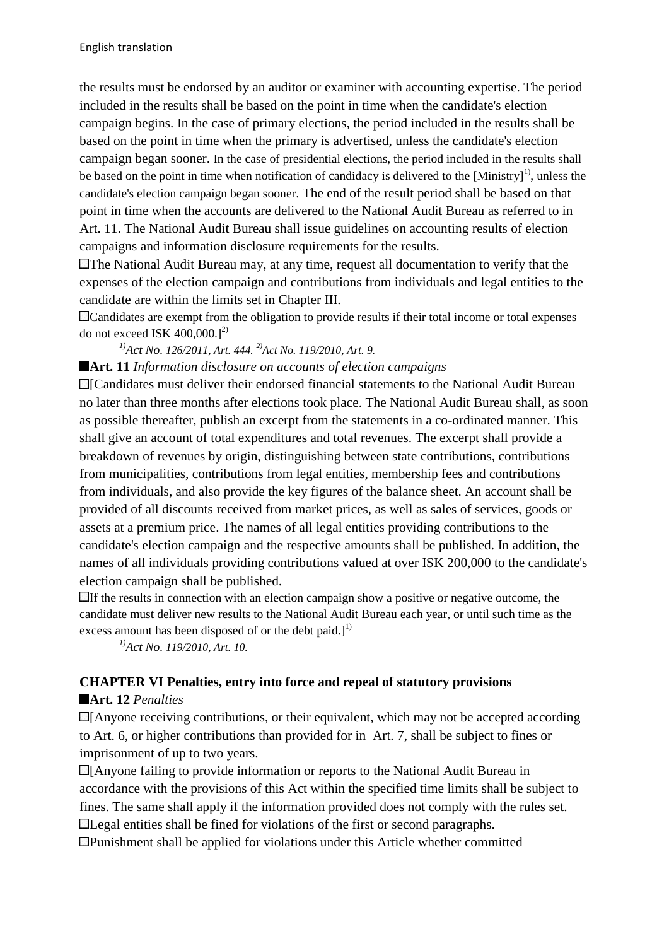the results must be endorsed by an auditor or examiner with accounting expertise. The period included in the results shall be based on the point in time when the candidate's election campaign begins. In the case of primary elections, the period included in the results shall be based on the point in time when the primary is advertised, unless the candidate's election campaign began sooner. In the case of presidential elections, the period included in the results shall be based on the point in time when notification of candidacy is delivered to the  $[Ministry]$ <sup>1</sup>, unless the candidate's election campaign began sooner. The end of the result period shall be based on that point in time when the accounts are delivered to the National Audit Bureau as referred to in Art. 11. The National Audit Bureau shall issue guidelines on accounting results of election campaigns and information disclosure requirements for the results.

The National Audit Bureau may, at any time, request all documentation to verify that the expenses of the election campaign and contributions from individuals and legal entities to the candidate are within the limits set in Chapter III.

Candidates are exempt from the obligation to provide results if their total income or total expenses do not exceed ISK  $400,000$ .]<sup>2)</sup>

#### *1)Act No. 126/2011, Art. 444. 2)Act No. 119/2010, Art. 9.*

#### **Art. 11** *Information disclosure on accounts of election campaigns*

[Candidates must deliver their endorsed financial statements to the National Audit Bureau no later than three months after elections took place. The National Audit Bureau shall, as soon as possible thereafter, publish an excerpt from the statements in a co-ordinated manner. This shall give an account of total expenditures and total revenues. The excerpt shall provide a breakdown of revenues by origin, distinguishing between state contributions, contributions from municipalities, contributions from legal entities, membership fees and contributions from individuals, and also provide the key figures of the balance sheet. An account shall be provided of all discounts received from market prices, as well as sales of services, goods or assets at a premium price. The names of all legal entities providing contributions to the candidate's election campaign and the respective amounts shall be published. In addition, the names of all individuals providing contributions valued at over ISK 200,000 to the candidate's election campaign shall be published.

If the results in connection with an election campaign show a positive or negative outcome, the candidate must deliver new results to the National Audit Bureau each year, or until such time as the excess amount has been disposed of or the debt paid.]<sup>1)</sup>

*1)Act No. 119/2010, Art. 10.* 

#### **CHAPTER VI Penalties, entry into force and repeal of statutory provisions**

#### **Art. 12** *Penalties*

 $\Box$ [Anyone receiving contributions, or their equivalent, which may not be accepted according to Art. 6, or higher contributions than provided for in Art. 7, shall be subject to fines or imprisonment of up to two years.

[Anyone failing to provide information or reports to the National Audit Bureau in accordance with the provisions of this Act within the specified time limits shall be subject to fines. The same shall apply if the information provided does not comply with the rules set. Ellegal entities shall be fined for violations of the first or second paragraphs.

Punishment shall be applied for violations under this Article whether committed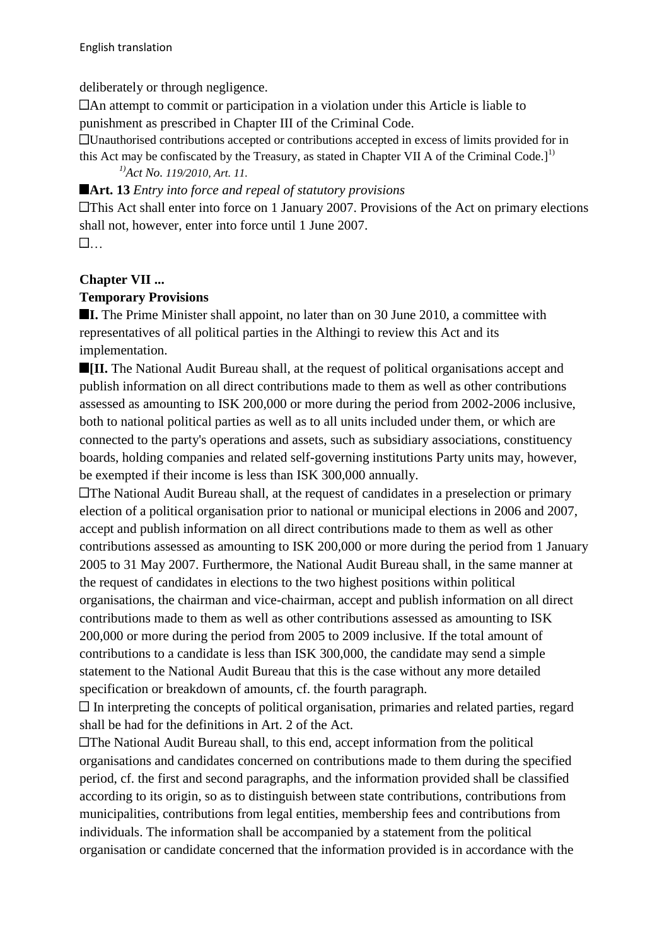deliberately or through negligence.

An attempt to commit or participation in a violation under this Article is liable to punishment as prescribed in Chapter III of the Criminal Code.

Unauthorised contributions accepted or contributions accepted in excess of limits provided for in

this Act may be confiscated by the Treasury, as stated in Chapter VII A of the Criminal Code.]<sup>1)</sup> *1)Act No. 119/2010, Art. 11.* 

# **Art. 13** *Entry into force and repeal of statutory provisions*

**EThis Act shall enter into force on 1 January 2007. Provisions of the Act on primary elections** shall not, however, enter into force until 1 June 2007.  $\mathbb{R}$  . The contract of  $\mathbb{R}$ 

# **Chapter VII ...**

# **Temporary Provisions**

**I.** The Prime Minister shall appoint, no later than on 30 June 2010, a committee with representatives of all political parties in the Althingi to review this Act and its implementation.

**III.** The National Audit Bureau shall, at the request of political organisations accept and publish information on all direct contributions made to them as well as other contributions assessed as amounting to ISK 200,000 or more during the period from 2002-2006 inclusive, both to national political parties as well as to all units included under them, or which are connected to the party's operations and assets, such as subsidiary associations, constituency boards, holding companies and related self-governing institutions Party units may, however, be exempted if their income is less than ISK 300,000 annually.

The National Audit Bureau shall, at the request of candidates in a preselection or primary election of a political organisation prior to national or municipal elections in 2006 and 2007, accept and publish information on all direct contributions made to them as well as other contributions assessed as amounting to ISK 200,000 or more during the period from 1 January 2005 to 31 May 2007. Furthermore, the National Audit Bureau shall, in the same manner at the request of candidates in elections to the two highest positions within political organisations, the chairman and vice-chairman, accept and publish information on all direct contributions made to them as well as other contributions assessed as amounting to ISK 200,000 or more during the period from 2005 to 2009 inclusive. If the total amount of contributions to a candidate is less than ISK 300,000, the candidate may send a simple statement to the National Audit Bureau that this is the case without any more detailed specification or breakdown of amounts, cf. the fourth paragraph.

 $\Box$  In interpreting the concepts of political organisation, primaries and related parties, regard shall be had for the definitions in Art. 2 of the Act.

The National Audit Bureau shall, to this end, accept information from the political organisations and candidates concerned on contributions made to them during the specified period, cf. the first and second paragraphs, and the information provided shall be classified according to its origin, so as to distinguish between state contributions, contributions from municipalities, contributions from legal entities, membership fees and contributions from individuals. The information shall be accompanied by a statement from the political organisation or candidate concerned that the information provided is in accordance with the